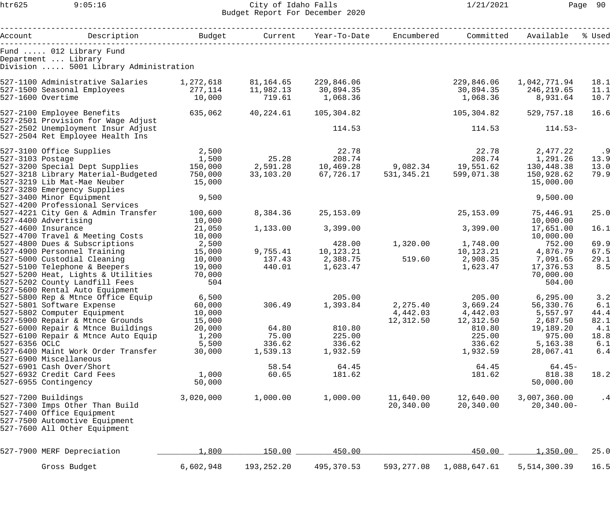## htr625 9:05:16 City of Idaho Falls 1/21/2021 Page 90 Budget Report For December 2020

| Account          | Description                                                            | Budget by Budget |            | Current Year-To-Date Encumbered                |              | Committed    | Available            | % Used    |
|------------------|------------------------------------------------------------------------|------------------|------------|------------------------------------------------|--------------|--------------|----------------------|-----------|
|                  | Fund  012 Library Fund<br>Department  Library                          |                  |            |                                                |              |              |                      |           |
|                  | Division  5001 Library Administration                                  |                  |            |                                                |              |              |                      |           |
|                  | 527-1100 Administrative Salaries 1,272,618                             |                  | 81,164.65  | 229,846.06                                     |              | 229,846.06   | 1,042,771.94         | 18.1      |
|                  | 527-1500 Seasonal Employees                                            | 277,114          | 11,982.13  | 30,894.35                                      |              |              | 30,894.35 246,219.65 | 11.1      |
|                  | 527-1600 Overtime                                                      | 10,000           | 719.61     | 1,068.36                                       |              | 1,068.36     | 8,931.64             | 10.7      |
|                  | 527-2100 Employee Benefits                                             | 635,062          | 40,224.61  | 105,304.82                                     |              | 105,304.82   | 529,757.18           | 16.6      |
|                  | 527-2501 Provision for Wage Adjust                                     |                  |            |                                                |              |              |                      |           |
|                  | 527-2502 Unemployment Insur Adjust<br>527-2504 Ret Employee Health Ins |                  |            | 114.53                                         |              | 114.53       | $114.53-$            |           |
|                  | 527-3100 Office Supplies                                               | 2,500            |            | 22.78                                          |              | 22.78        | 2,477.22             | .9        |
| 527-3103 Postage |                                                                        | 1,500            | 25.28      | 208.74                                         |              | 208.74       | 2,477.22<br>1,291.26 | 13.9      |
|                  | 527-3200 Special Dept Supplies                                         | 150,000          |            | 2,591.28    10,469.28    9,082.34    19,551.62 |              |              | 130,448.38           | 13.0      |
|                  | 527-3218 Library Material-Budgeted                                     | 750,000          | 33,103.20  | 67,726.17                                      | 531, 345. 21 | 599,071.38   | 150,928.62           | 79.9      |
|                  | 527-3219 Lib Mat-Mae Neuber                                            | 15,000           |            |                                                |              |              | 15,000.00            |           |
|                  | 527-3280 Emergency Supplies<br>527-3400 Minor Equipment                | 9,500            |            |                                                |              |              | 9,500.00             |           |
|                  | 527-4200 Professional Services                                         |                  |            |                                                |              |              |                      |           |
|                  | 527-4221 City Gen & Admin Transfer                                     | 100,600          | 8,384.36   | 25,153.09                                      |              | 25, 153.09   | 75,446.91            | 25.0      |
|                  | 527-4400 Advertising                                                   | 10,000           |            |                                                |              |              | 10,000.00            |           |
|                  | 527-4600 Insurance                                                     | 21,050           | 1,133.00   | 3,399.00                                       |              | 3,399.00     | 17,651.00            | 16.1      |
|                  | 527-4700 Travel & Meeting Costs                                        | 10,000           |            |                                                |              |              | 10,000.00            |           |
|                  | 527-4800 Dues & Subscriptions                                          | 2,500            |            | 428.00                                         | 1,320.00     | 1,748.00     | 752.00               | 69.9      |
|                  | 527-4900 Personnel Training                                            | 15,000           |            | 9,755.41    10,123.21                          |              | 10,123.21    | 4,876.79             | 67.5      |
|                  | 527-5000 Custodial Cleaning                                            | 10,000           |            | 137.43 2,388.75                                | 519.60       | 2,908.35     | 7,091.65             | 29.1      |
|                  | 527-5100 Telephone & Beepers                                           | 19,000           | 440.01     | 1,623.47                                       |              | 1,623.47     | 17,376.53            | 8.5       |
|                  | 527-5200 Heat, Lights & Utilities                                      | 70,000           |            |                                                |              |              | 70,000.00            |           |
|                  | 527-5202 County Landfill Fees                                          | 504              |            |                                                |              |              | 504.00               |           |
|                  | 527-5600 Rental Auto Equipment                                         |                  |            |                                                |              |              |                      |           |
|                  | 527-5800 Rep & Mtnce Office Equip                                      | 6,500            |            | 205.00                                         |              |              | 205.00 6,295.00      | 3.2       |
|                  | 527-5801 Software Expense                                              | 60,000           |            | 306.49 1,393.84                                | 2,275.40     | 3,669.24     | 56,330.76            | 6.1       |
|                  | 527-5802 Computer Equipment                                            | 10,000           |            |                                                | 4,442.03     | 4,442.03     | 5,557.97             | 44.4      |
|                  | 527-5900 Repair & Mtnce Grounds                                        | 15,000           |            |                                                | 12,312.50    | 12,312.50    | 2,687.50             | 82.1      |
|                  | 527-6000 Repair & Mtnce Buildings                                      | 20,000           | 64.80      | 810.80                                         |              | 810.80       | 19,189.20            | 4.1       |
|                  | 527-6100 Repair & Mtnce Auto Equip                                     | 1,200            | 75.00      | 225.00                                         |              | 225.00       | 975.00               | 18.8      |
| 527-6356 OCLC    |                                                                        | 5,500            | 336.62     | 336.62                                         |              | 336.62       | 5,163.38             | 6.1       |
|                  | 527-6400 Maint Work Order Transfer                                     | 30,000           | 1,539.13   | 1,932.59                                       |              | 1,932.59     | 28,067.41            | 6.4       |
|                  | 527-6900 Miscellaneous                                                 |                  |            |                                                |              |              |                      |           |
|                  | 527-6901 Cash Over/Short                                               |                  | 58.54      | 64.45                                          |              | 64.45        | $64.45-$             |           |
|                  | 527-6932 Credit Card Fees                                              | 1,000            | 60.65      | 181.62                                         |              | 181.62       | 818.38               | 18.2      |
|                  | 527-6955 Contingency                                                   | 50,000           |            |                                                |              |              | 50,000.00            |           |
|                  | 527-7200 Buildings                                                     | 3,020,000        | 1,000.00   | 1,000.00                                       | 11,640.00    | 12,640.00    | 3,007,360.00         | $\cdot$ 4 |
|                  | 527-7300 Imps Other Than Build                                         |                  |            |                                                | 20,340.00    | 20,340.00    | $20, 340.00 -$       |           |
|                  | 527-7400 Office Equipment                                              |                  |            |                                                |              |              |                      |           |
|                  | 527-7500 Automotive Equipment                                          |                  |            |                                                |              |              |                      |           |
|                  | 527-7600 All Other Equipment                                           |                  |            |                                                |              |              |                      |           |
|                  | 527-7900 MERF Depreciation                                             | 1,800            | 150.00     | 450.00                                         |              | 450.00       | 1,350.00             | 25.0      |
|                  |                                                                        |                  |            |                                                |              |              |                      |           |
|                  | Gross Budget                                                           | 6,602,948        | 193,252.20 | 495,370.53                                     | 593, 277.08  | 1,088,647.61 | 5,514,300.39         | 16.5      |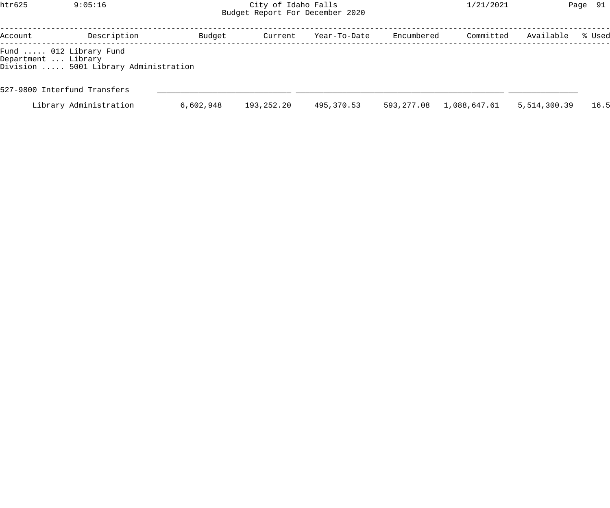## htr625 9:05:16 City of Idaho Falls 1/21/2021 Page 91 Budget Report For December 2020

| Account             | Description                                                     | Budget    | Current    | Year-To-Date | Encumbered | Committed    | Available    | % Used |
|---------------------|-----------------------------------------------------------------|-----------|------------|--------------|------------|--------------|--------------|--------|
| Department  Library | Fund  012 Library Fund<br>Division  5001 Library Administration |           |            |              |            |              |              |        |
|                     | 527-9800 Interfund Transfers                                    |           |            |              |            |              |              |        |
|                     | Library Administration                                          | 6,602,948 | 193,252.20 | 495,370.53   | 593,277.08 | 1,088,647.61 | 5,514,300.39 | 16.5   |
|                     |                                                                 |           |            |              |            |              |              |        |